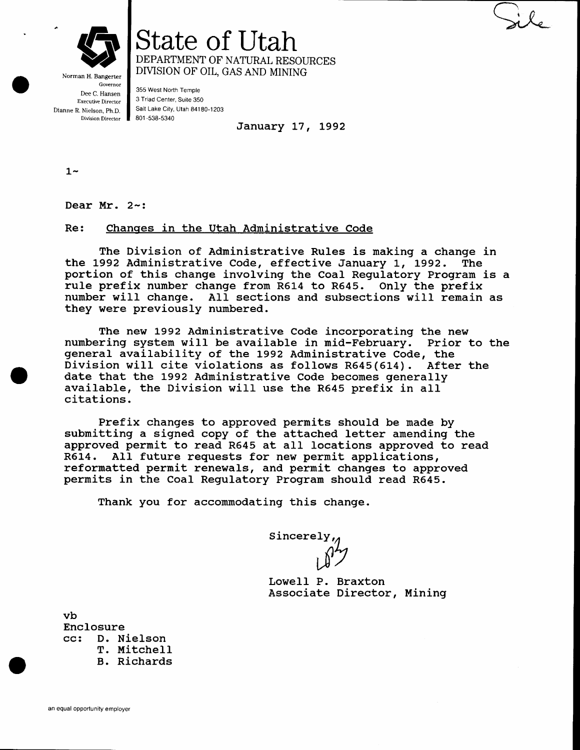

Governor Dee C. Hansen Executive Director Dianne R. Nielson, Ph.D.  $\frac{1}{2}$  Nielson, Ph.D.  $\frac{1}{2}$  3801-538-5340

State of Utah DEPARTMENT OF NATURAL RESOURCES DIVISION OF OIL, GAS AND MINING

355 West North Temple 3 Triad Center. Suite 350

Salt Lake City, Utah 84180-1203 January 17, 1992

 $1 -$ 

Dear Mr. 2~:

## Re: Changes in the Utah Administrative Code

The Division of Administrative Rules is making a change in<br>the 1992 Administrative Code, effective January 1, 1992. The<br>portion of this change involving the Coal Regulatory Program is a rule prefix number change from R614 to R645. Only the prefix number will change. All sections and subsections will remain as they were previously numbered.

The new L992 Administrative Code incorporating the new numbering system will be available in mid-February. Prior to<br>general availability of the 1992 Administrative Code, the<br>Division will cite violations as follows R645(614). After the date that the 1992 Adninistrative Code becomes generally available, the Division wiII use the R545 prefix in all numbering system will be available in mid-February. Prior to the citations.

Prefix changes to approved permits should be made by submitting a signed copy of the attached letter amending the<br>approved permit to read R645 at all locations approved to read approved permit to read R545 at aII locations approved to read R614. AII future requests for new permit applications, reformatted permit renewals, and permit changes to approved permits in the Coal Regulatory Progrram should read R645.

Thank you for acconmodating this change.

Sincerely

fih| w/

Lowell P. Braxton Associate Director, Mining

vb Enclosure cc: D, Nielson T. Mitchell B. Richards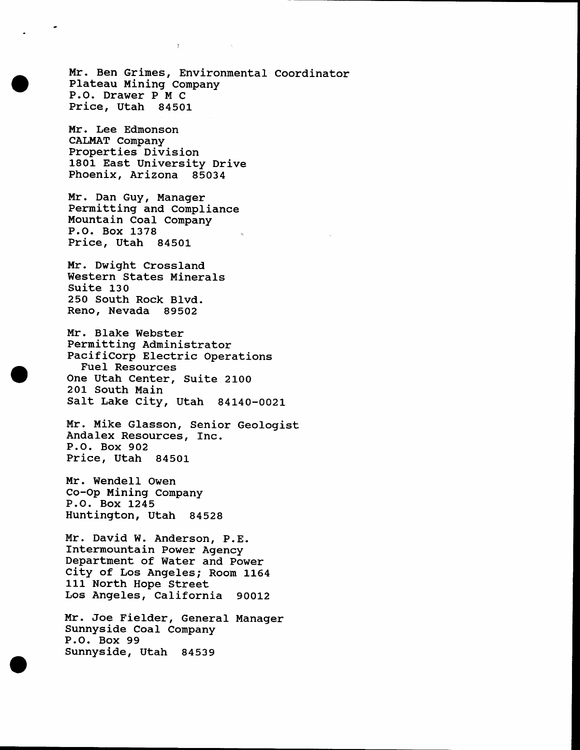Mr. Ben Grimes, Environmental Coordinator<br>Plateau Mining Company P.O. Drawer P M C Price, Utah 84501

!

Mr. Lee Edmonson CALMAT Company Properties Division 1801 East University Drive Phoenix, Arizona 85034

Mr. Dan Guy, Manager<br>Permitting and Compliance Mountain Coal Company P.O. Box 1378 Price, Utah 84501

Mr. Dwight Crossland Western States Minerals Suite <sup>130</sup> 250 South Rock BIvd. Reno, Nevada 89502

Mr. Blake Webster<br>Permitting Administrator PacifiCorp Electric Operations<br>Fuel Resources One Utah Center, Suite 2100<br>201 South Main Salt Lake City, Utah 84140-0021

Mr. Mike Glasson, Senior Geologist Andalex Resources, fnc. P.O. Box 9Oz Price, Utah <sup>84501</sup>

Mr. WendeII Owen Co-Op Mining Company P.O. Box L245 Huntington, Utah 84528

Mr. David W. Anderson, P.E. Intermountain Power Agency Department of Water and Power<br>City of Los Angeles; Room 1164 111 North Hope Street Los Angeles, California 90012

Mr. Joe Fielder, General Manager Sunnyside Coal Company P.O. Box <sup>99</sup> Sunnyside, Utah 84539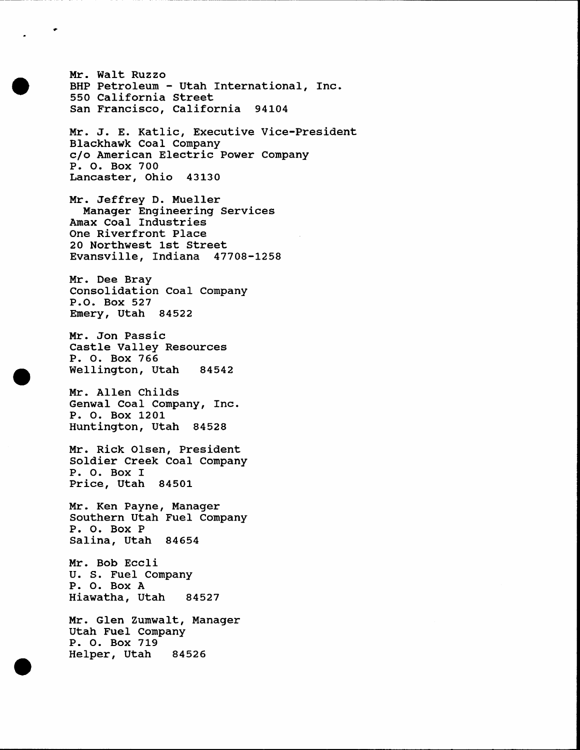Mr. WaIt Ruzzo BHP Petroleum - Utah International, Inc. 55O California Street San Francisco, California 94104

Mr. J. E. Katlic, Executive Vice-President Blackhawk CoaI Company c/o American Electric Power Company P. O. Box 7OO Lancaster, Ohio 43130

Mr. Jeffrey D. MueIIer Manager Engineering Services Amax Coal Industries One Riverfront Place 20 Northwest lst Street Evansville, Indiana 47708-1258

Mr. Dee Bray Consolidation Coal Company P.O. Box 527 Emery, Utah 84522

Mr. Jon Passic Castle Valley Resources P. O. Box 766 Wellington, Utah 84542

Mr. Allen Childs Genwal Coal Company, Inc. P. O. Box 1201 Huntington, Utah 84528

Mr. Rick olsen, President Soldier Creek Coal Company P. O. Box I Price, Utah 84501

Mr. Ken Payne, Manager Southern Utah Fuel Company P. O. Box <sup>P</sup> Salina, Utah 84654

Mr. Bob Eccli IJ. S. FueI Company P. O. Box <sup>A</sup> Hiawatha, Utah 84527

Mr. Glen Zumwalt, Manager Utah Fuel Company P. O. Box 7Lg Helper, Utah 84526